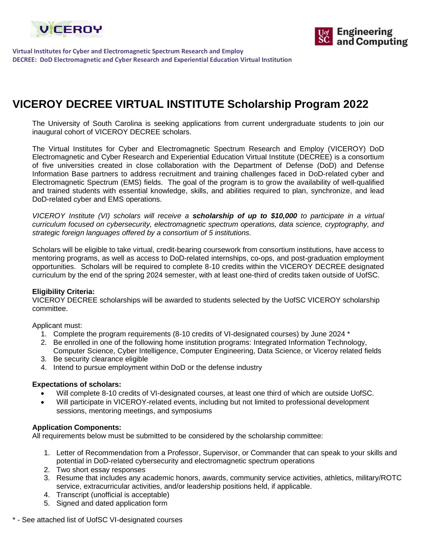



**Virtual Institutes for Cyber and Electromagnetic Spectrum Research and Employ DECREE: DoD Electromagnetic and Cyber Research and Experiential Education Virtual Institution**

# **VICEROY DECREE VIRTUAL INSTITUTE Scholarship Program 2022**

The University of South Carolina is seeking applications from current undergraduate students to join our inaugural cohort of VICEROY DECREE scholars.

The Virtual Institutes for Cyber and Electromagnetic Spectrum Research and Employ (VICEROY) DoD Electromagnetic and Cyber Research and Experiential Education Virtual Institute (DECREE) is a consortium of five universities created in close collaboration with the Department of Defense (DoD) and Defense Information Base partners to address recruitment and training challenges faced in DoD-related cyber and Electromagnetic Spectrum (EMS) fields. The goal of the program is to grow the availability of well-qualified and trained students with essential knowledge, skills, and abilities required to plan, synchronize, and lead DoD-related cyber and EMS operations.

*VICEROY Institute (VI) scholars will receive a scholarship of up to \$10,000 to participate in a virtual curriculum focused on cybersecurity, electromagnetic spectrum operations, data science, cryptography, and strategic foreign languages offered by a consortium of 5 institutions.* 

Scholars will be eligible to take virtual, credit-bearing coursework from consortium institutions, have access to mentoring programs, as well as access to DoD-related internships, co-ops, and post-graduation employment opportunities. Scholars will be required to complete 8-10 credits within the VICEROY DECREE designated curriculum by the end of the spring 2024 semester, with at least one-third of credits taken outside of UofSC.

#### **Eligibility Criteria:**

VICEROY DECREE scholarships will be awarded to students selected by the UofSC VICEROY scholarship committee.

Applicant must:

- 1. Complete the program requirements (8-10 credits of VI-designated courses) by June 2024 \*
- 2. Be enrolled in one of the following home institution programs: Integrated Information Technology, Computer Science, Cyber Intelligence, Computer Engineering, Data Science, or Viceroy related fields
- 3. Be security clearance eligible
- 4. Intend to pursue employment within DoD or the defense industry

#### **Expectations of scholars:**

- Will complete 8-10 credits of VI-designated courses, at least one third of which are outside UofSC.
- Will participate in VICEROY-related events, including but not limited to professional development sessions, mentoring meetings, and symposiums

#### **Application Components:**

All requirements below must be submitted to be considered by the scholarship committee:

- 1. Letter of Recommendation from a Professor, Supervisor, or Commander that can speak to your skills and potential in DoD-related cybersecurity and electromagnetic spectrum operations
- 2. Two short essay responses
- 3. Resume that includes any academic honors, awards, community service activities, athletics, military/ROTC service, extracurricular activities, and/or leadership positions held, if applicable.
- 4. Transcript (unofficial is acceptable)
- 5. Signed and dated application form
- \* See attached list of UofSC VI-designated courses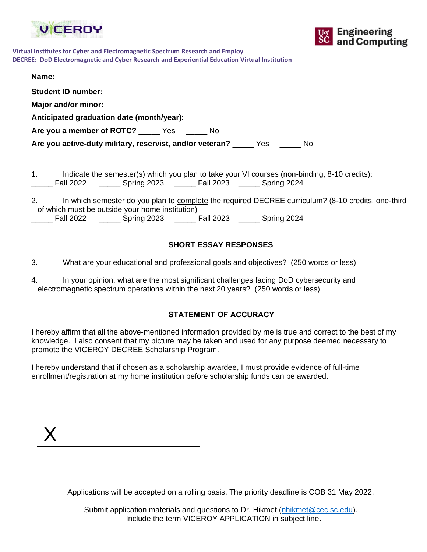



| Virtual Institutes for Cyber and Electromagnetic Spectrum Research and Employ                 |  |
|-----------------------------------------------------------------------------------------------|--|
| DECREE: DoD Electromagnetic and Cyber Research and Experiential Education Virtual Institution |  |

| Name:                                                                                                                                                                        |
|------------------------------------------------------------------------------------------------------------------------------------------------------------------------------|
| <b>Student ID number:</b>                                                                                                                                                    |
| Major and/or minor:                                                                                                                                                          |
| Anticipated graduation date (month/year):                                                                                                                                    |
| Are you a member of ROTC? Ves<br>- No                                                                                                                                        |
| Are you active-duty military, reservist, and/or veteran? _______ Yes _______ No                                                                                              |
|                                                                                                                                                                              |
| 1.<br>Indicate the semester(s) which you plan to take your VI courses (non-binding, 8-10 credits):<br>Fall 2022 _________ Spring 2023 ________ Fall 2023 _______ Spring 2024 |

| Ζ. |                  |                                                 |                  | In which semester do you plan to complete the required DECREE curriculum? (8-10 credits, one-third |  |
|----|------------------|-------------------------------------------------|------------------|----------------------------------------------------------------------------------------------------|--|
|    |                  | of which must be outside your home institution) |                  |                                                                                                    |  |
|    | <b>Fall 2022</b> | Spring 2023                                     | <b>Fall 2023</b> | Spring 2024                                                                                        |  |

## **SHORT ESSAY RESPONSES**

3. What are your educational and professional goals and objectives? (250 words or less)

| 4. | In your opinion, what are the most significant challenges facing DoD cybersecurity and |  |  |  |  |
|----|----------------------------------------------------------------------------------------|--|--|--|--|
|    | electromagnetic spectrum operations within the next 20 years? (250 words or less)      |  |  |  |  |

## **STATEMENT OF ACCURACY**

I hereby affirm that all the above-mentioned information provided by me is true and correct to the best of my knowledge. I also consent that my picture may be taken and used for any purpose deemed necessary to promote the VICEROY DECREE Scholarship Program.

I hereby understand that if chosen as a scholarship awardee, I must provide evidence of full-time enrollment/registration at my home institution before scholarship funds can be awarded.

| Y<br>$\Lambda$ |  |  |
|----------------|--|--|
|                |  |  |

Applications will be accepted on a rolling basis. The priority deadline is COB 31 May 2022.

Submit application materials and questions to Dr. Hikmet [\(nhikmet@cec.sc.edu\)](mailto:nhikmet@cec.sc.edu). Include the term VICEROY APPLICATION in subject line.